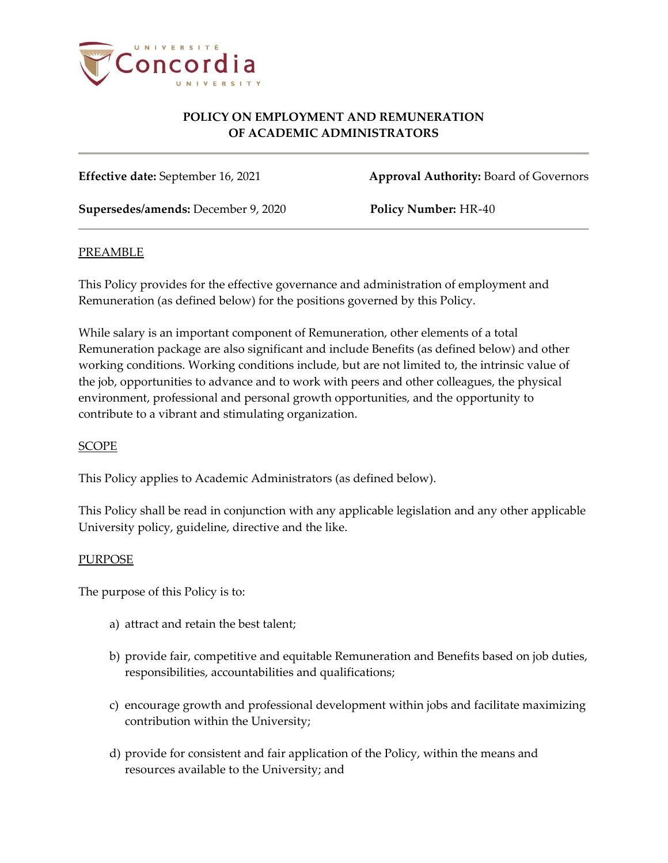

**Effective date:** September 16, 2021 **Approval Authority:** Board of Governors

**Supersedes/amends:** December 9, 2020 **Policy Number:** HR-40

#### PREAMBLE

This Policy provides for the effective governance and administration of employment and Remuneration (as defined below) for the positions governed by this Policy.

While salary is an important component of Remuneration, other elements of a total Remuneration package are also significant and include Benefits (as defined below) and other working conditions. Working conditions include, but are not limited to, the intrinsic value of the job, opportunities to advance and to work with peers and other colleagues, the physical environment, professional and personal growth opportunities, and the opportunity to contribute to a vibrant and stimulating organization.

#### SCOPE

This Policy applies to Academic Administrators (as defined below).

This Policy shall be read in conjunction with any applicable legislation and any other applicable University policy, guideline, directive and the like.

#### PURPOSE

The purpose of this Policy is to:

- a) attract and retain the best talent;
- b) provide fair, competitive and equitable Remuneration and Benefits based on job duties, responsibilities, accountabilities and qualifications;
- c) encourage growth and professional development within jobs and facilitate maximizing contribution within the University;
- d) provide for consistent and fair application of the Policy, within the means and resources available to the University; and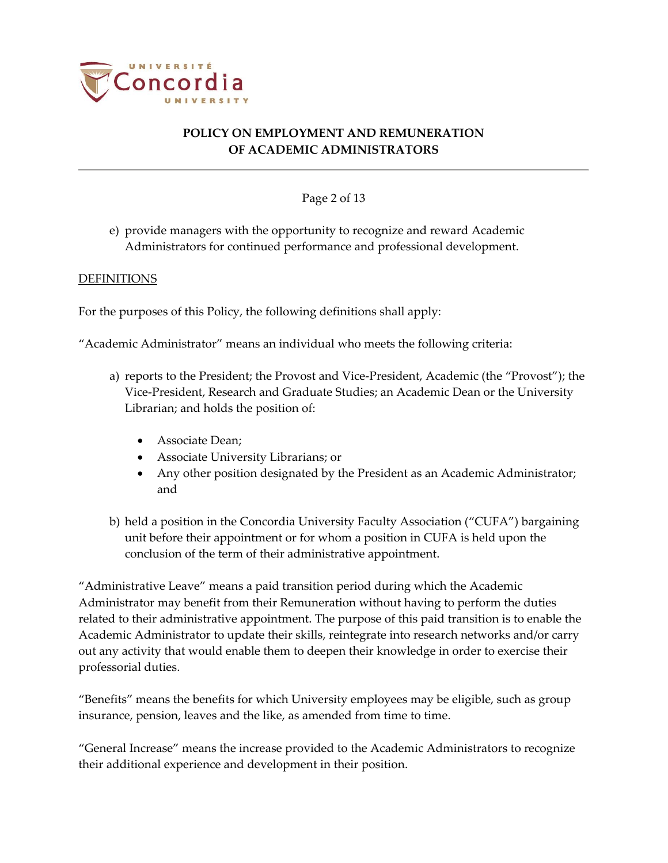

## Page 2 of 13

e) provide managers with the opportunity to recognize and reward Academic Administrators for continued performance and professional development.

#### DEFINITIONS

For the purposes of this Policy, the following definitions shall apply:

"Academic Administrator" means an individual who meets the following criteria:

- a) reports to the President; the Provost and Vice-President, Academic (the "Provost"); the Vice-President, Research and Graduate Studies; an Academic Dean or the University Librarian; and holds the position of:
	- Associate Dean;
	- Associate University Librarians; or
	- Any other position designated by the President as an Academic Administrator; and
- b) held a position in the Concordia University Faculty Association ("CUFA") bargaining unit before their appointment or for whom a position in CUFA is held upon the conclusion of the term of their administrative appointment.

"Administrative Leave" means a paid transition period during which the Academic Administrator may benefit from their Remuneration without having to perform the duties related to their administrative appointment. The purpose of this paid transition is to enable the Academic Administrator to update their skills, reintegrate into research networks and/or carry out any activity that would enable them to deepen their knowledge in order to exercise their professorial duties.

"Benefits" means the benefits for which University employees may be eligible, such as group insurance, pension, leaves and the like, as amended from time to time.

"General Increase" means the increase provided to the Academic Administrators to recognize their additional experience and development in their position.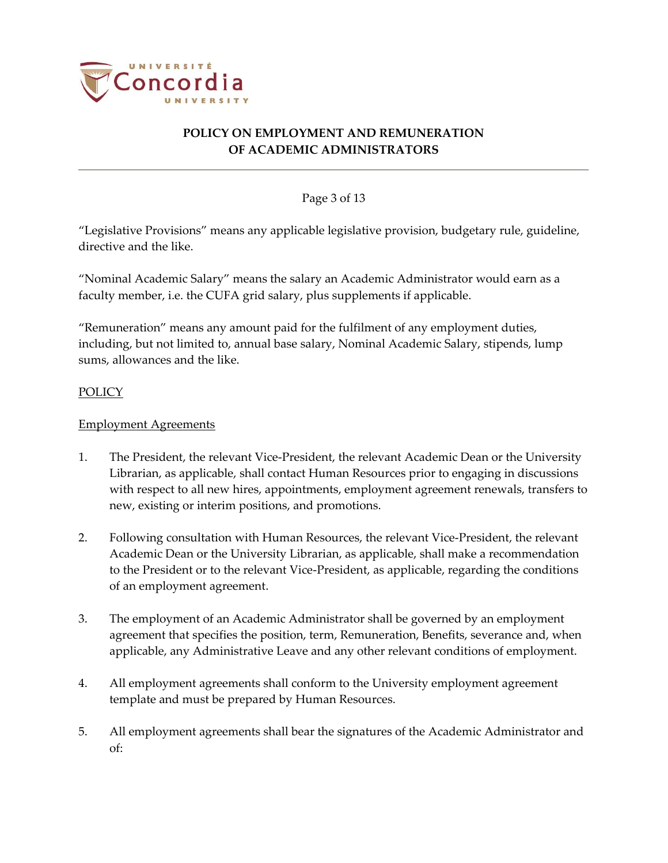

## Page 3 of 13

"Legislative Provisions" means any applicable legislative provision, budgetary rule, guideline, directive and the like.

"Nominal Academic Salary" means the salary an Academic Administrator would earn as a faculty member, i.e. the CUFA grid salary, plus supplements if applicable.

"Remuneration" means any amount paid for the fulfilment of any employment duties, including, but not limited to, annual base salary, Nominal Academic Salary, stipends, lump sums, allowances and the like.

## POLICY

## Employment Agreements

- 1. The President, the relevant Vice-President, the relevant Academic Dean or the University Librarian, as applicable, shall contact Human Resources prior to engaging in discussions with respect to all new hires, appointments, employment agreement renewals, transfers to new, existing or interim positions, and promotions.
- 2. Following consultation with Human Resources, the relevant Vice-President, the relevant Academic Dean or the University Librarian, as applicable, shall make a recommendation to the President or to the relevant Vice-President, as applicable, regarding the conditions of an employment agreement.
- 3. The employment of an Academic Administrator shall be governed by an employment agreement that specifies the position, term, Remuneration, Benefits, severance and, when applicable, any Administrative Leave and any other relevant conditions of employment.
- 4. All employment agreements shall conform to the University employment agreement template and must be prepared by Human Resources.
- 5. All employment agreements shall bear the signatures of the Academic Administrator and of: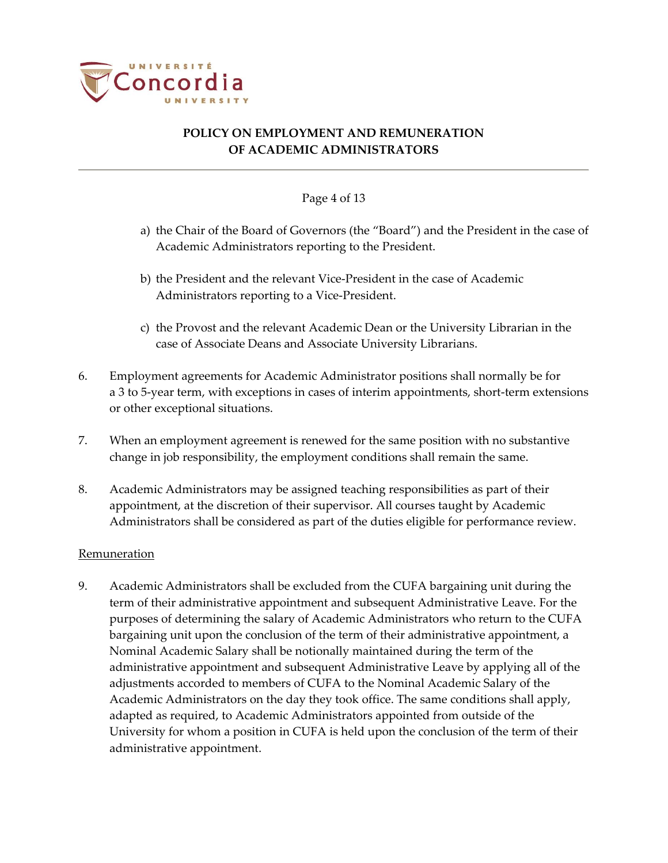

#### Page 4 of 13

- a) the Chair of the Board of Governors (the "Board") and the President in the case of Academic Administrators reporting to the President.
- b) the President and the relevant Vice-President in the case of Academic Administrators reporting to a Vice-President.
- c) the Provost and the relevant Academic Dean or the University Librarian in the case of Associate Deans and Associate University Librarians.
- 6. Employment agreements for Academic Administrator positions shall normally be for a 3 to 5-year term, with exceptions in cases of interim appointments, short-term extensions or other exceptional situations.
- 7. When an employment agreement is renewed for the same position with no substantive change in job responsibility, the employment conditions shall remain the same.
- 8. Academic Administrators may be assigned teaching responsibilities as part of their appointment, at the discretion of their supervisor. All courses taught by Academic Administrators shall be considered as part of the duties eligible for performance review.

#### Remuneration

9. Academic Administrators shall be excluded from the CUFA bargaining unit during the term of their administrative appointment and subsequent Administrative Leave. For the purposes of determining the salary of Academic Administrators who return to the CUFA bargaining unit upon the conclusion of the term of their administrative appointment, a Nominal Academic Salary shall be notionally maintained during the term of the administrative appointment and subsequent Administrative Leave by applying all of the adjustments accorded to members of CUFA to the Nominal Academic Salary of the Academic Administrators on the day they took office. The same conditions shall apply, adapted as required, to Academic Administrators appointed from outside of the University for whom a position in CUFA is held upon the conclusion of the term of their administrative appointment.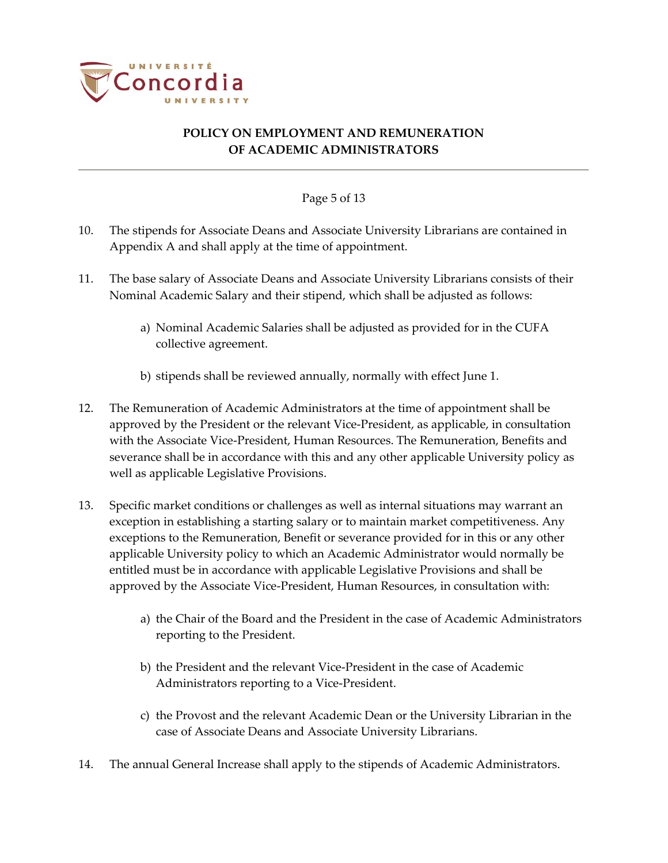

## Page 5 of 13

- 10. The stipends for Associate Deans and Associate University Librarians are contained in Appendix A and shall apply at the time of appointment.
- 11. The base salary of Associate Deans and Associate University Librarians consists of their Nominal Academic Salary and their stipend, which shall be adjusted as follows:
	- a) Nominal Academic Salaries shall be adjusted as provided for in the CUFA collective agreement.
	- b) stipends shall be reviewed annually, normally with effect June 1.
- 12. The Remuneration of Academic Administrators at the time of appointment shall be approved by the President or the relevant Vice-President, as applicable, in consultation with the Associate Vice-President, Human Resources. The Remuneration, Benefits and severance shall be in accordance with this and any other applicable University policy as well as applicable Legislative Provisions.
- 13. Specific market conditions or challenges as well as internal situations may warrant an exception in establishing a starting salary or to maintain market competitiveness. Any exceptions to the Remuneration, Benefit or severance provided for in this or any other applicable University policy to which an Academic Administrator would normally be entitled must be in accordance with applicable Legislative Provisions and shall be approved by the Associate Vice-President, Human Resources, in consultation with:
	- a) the Chair of the Board and the President in the case of Academic Administrators reporting to the President.
	- b) the President and the relevant Vice-President in the case of Academic Administrators reporting to a Vice-President.
	- c) the Provost and the relevant Academic Dean or the University Librarian in the case of Associate Deans and Associate University Librarians.
- 14. The annual General Increase shall apply to the stipends of Academic Administrators.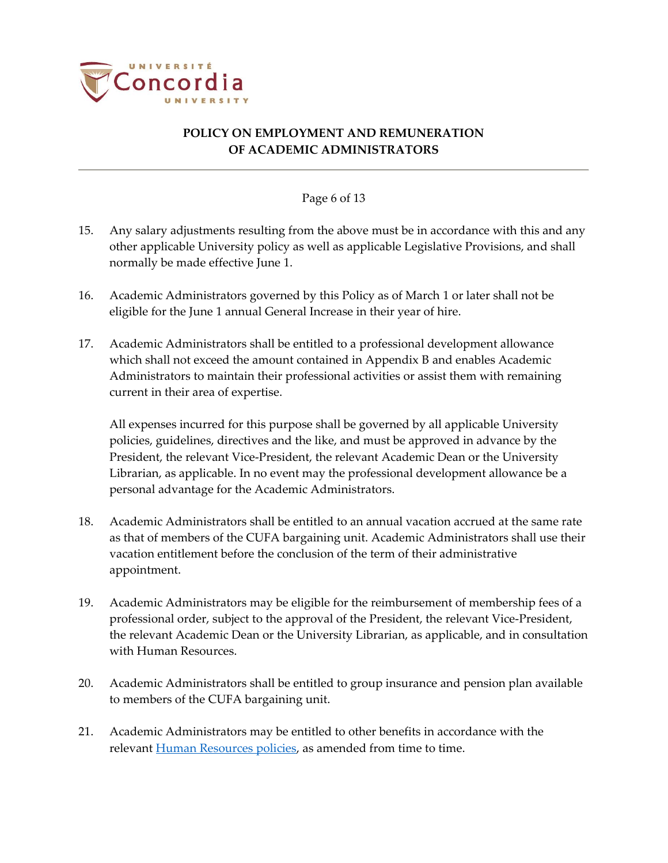

#### Page 6 of 13

- 15. Any salary adjustments resulting from the above must be in accordance with this and any other applicable University policy as well as applicable Legislative Provisions, and shall normally be made effective June 1.
- 16. Academic Administrators governed by this Policy as of March 1 or later shall not be eligible for the June 1 annual General Increase in their year of hire.
- 17. Academic Administrators shall be entitled to a professional development allowance which shall not exceed the amount contained in Appendix B and enables Academic Administrators to maintain their professional activities or assist them with remaining current in their area of expertise.

All expenses incurred for this purpose shall be governed by all applicable University policies, guidelines, directives and the like, and must be approved in advance by the President, the relevant Vice-President, the relevant Academic Dean or the University Librarian, as applicable. In no event may the professional development allowance be a personal advantage for the Academic Administrators.

- 18. Academic Administrators shall be entitled to an annual vacation accrued at the same rate as that of members of the CUFA bargaining unit. Academic Administrators shall use their vacation entitlement before the conclusion of the term of their administrative appointment.
- 19. Academic Administrators may be eligible for the reimbursement of membership fees of a professional order, subject to the approval of the President, the relevant Vice-President, the relevant Academic Dean or the University Librarian, as applicable, and in consultation with Human Resources.
- 20. Academic Administrators shall be entitled to group insurance and pension plan available to members of the CUFA bargaining unit.
- 21. Academic Administrators may be entitled to other benefits in accordance with the relevant [Human Resources policies,](https://www.concordia.ca/about/policies/sector.html#HR2) as amended from time to time.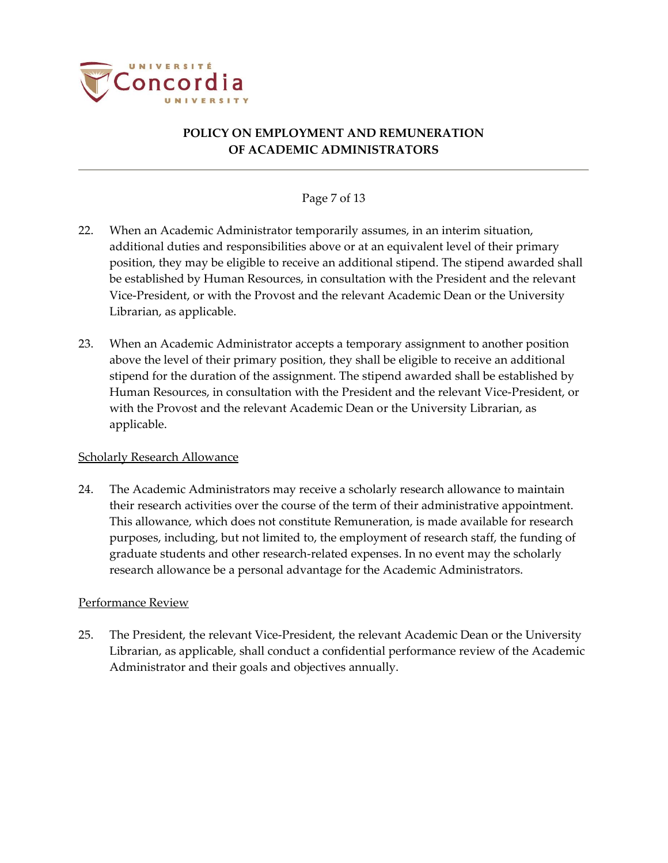

## Page 7 of 13

- 22. When an Academic Administrator temporarily assumes, in an interim situation, additional duties and responsibilities above or at an equivalent level of their primary position, they may be eligible to receive an additional stipend. The stipend awarded shall be established by Human Resources, in consultation with the President and the relevant Vice-President, or with the Provost and the relevant Academic Dean or the University Librarian, as applicable.
- 23. When an Academic Administrator accepts a temporary assignment to another position above the level of their primary position, they shall be eligible to receive an additional stipend for the duration of the assignment. The stipend awarded shall be established by Human Resources, in consultation with the President and the relevant Vice-President, or with the Provost and the relevant Academic Dean or the University Librarian, as applicable.

#### Scholarly Research Allowance

24. The Academic Administrators may receive a scholarly research allowance to maintain their research activities over the course of the term of their administrative appointment. This allowance, which does not constitute Remuneration, is made available for research purposes, including, but not limited to, the employment of research staff, the funding of graduate students and other research-related expenses. In no event may the scholarly research allowance be a personal advantage for the Academic Administrators.

#### Performance Review

25. The President, the relevant Vice-President, the relevant Academic Dean or the University Librarian, as applicable, shall conduct a confidential performance review of the Academic Administrator and their goals and objectives annually.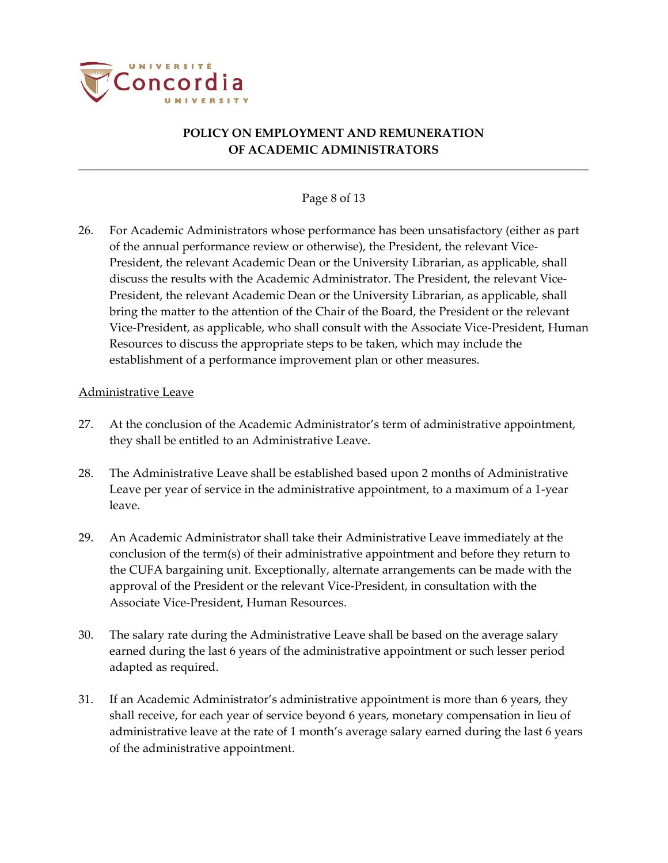

## Page 8 of 13

26. For Academic Administrators whose performance has been unsatisfactory (either as part of the annual performance review or otherwise), the President, the relevant Vice-President, the relevant Academic Dean or the University Librarian, as applicable, shall discuss the results with the Academic Administrator. The President, the relevant Vice-President, the relevant Academic Dean or the University Librarian, as applicable, shall bring the matter to the attention of the Chair of the Board, the President or the relevant Vice-President, as applicable, who shall consult with the Associate Vice-President, Human Resources to discuss the appropriate steps to be taken, which may include the establishment of a performance improvement plan or other measures.

#### Administrative Leave

- 27. At the conclusion of the Academic Administrator's term of administrative appointment, they shall be entitled to an Administrative Leave.
- 28. The Administrative Leave shall be established based upon 2 months of Administrative Leave per year of service in the administrative appointment, to a maximum of a 1-year leave.
- 29. An Academic Administrator shall take their Administrative Leave immediately at the conclusion of the term(s) of their administrative appointment and before they return to the CUFA bargaining unit. Exceptionally, alternate arrangements can be made with the approval of the President or the relevant Vice-President, in consultation with the Associate Vice-President, Human Resources.
- <span id="page-7-0"></span>30. The salary rate during the Administrative Leave shall be based on the average salary earned during the last 6 years of the administrative appointment or such lesser period adapted as required.
- 31. If an Academic Administrator's administrative appointment is more than 6 years, they shall receive, for each year of service beyond 6 years, monetary compensation in lieu of administrative leave at the rate of 1 month's average salary earned during the last 6 years of the administrative appointment.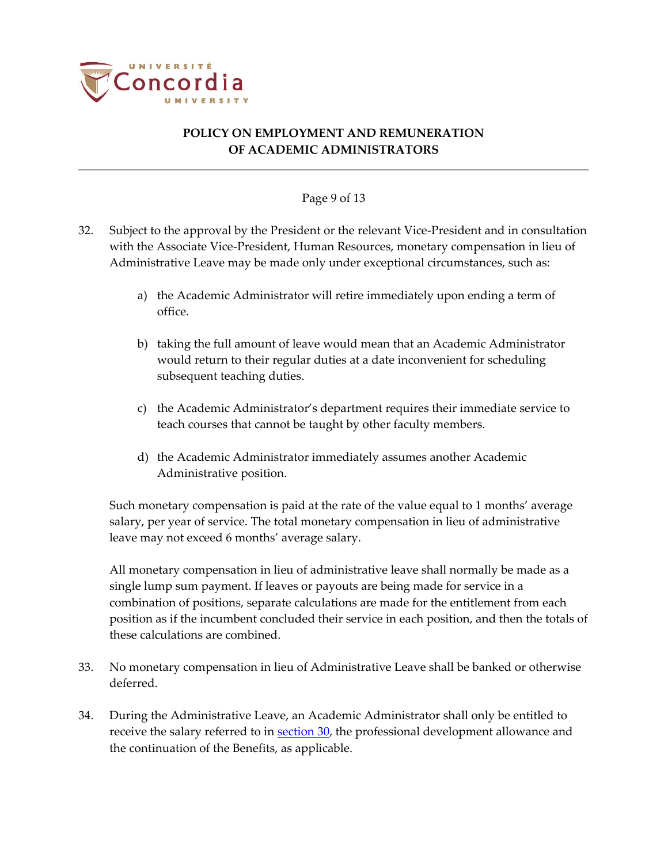

#### Page 9 of 13

- 32. Subject to the approval by the President or the relevant Vice-President and in consultation with the Associate Vice-President, Human Resources, monetary compensation in lieu of Administrative Leave may be made only under exceptional circumstances, such as:
	- a) the Academic Administrator will retire immediately upon ending a term of office.
	- b) taking the full amount of leave would mean that an Academic Administrator would return to their regular duties at a date inconvenient for scheduling subsequent teaching duties.
	- c) the Academic Administrator's department requires their immediate service to teach courses that cannot be taught by other faculty members.
	- d) the Academic Administrator immediately assumes another Academic Administrative position.

Such monetary compensation is paid at the rate of the value equal to 1 months' average salary, per year of service. The total monetary compensation in lieu of administrative leave may not exceed 6 months' average salary.

All monetary compensation in lieu of administrative leave shall normally be made as a single lump sum payment. If leaves or payouts are being made for service in a combination of positions, separate calculations are made for the entitlement from each position as if the incumbent concluded their service in each position, and then the totals of these calculations are combined.

- 33. No monetary compensation in lieu of Administrative Leave shall be banked or otherwise deferred.
- 34. During the Administrative Leave, an Academic Administrator shall only be entitled to receive the salary referred to in **section 30**, the professional development allowance and the continuation of the Benefits, as applicable.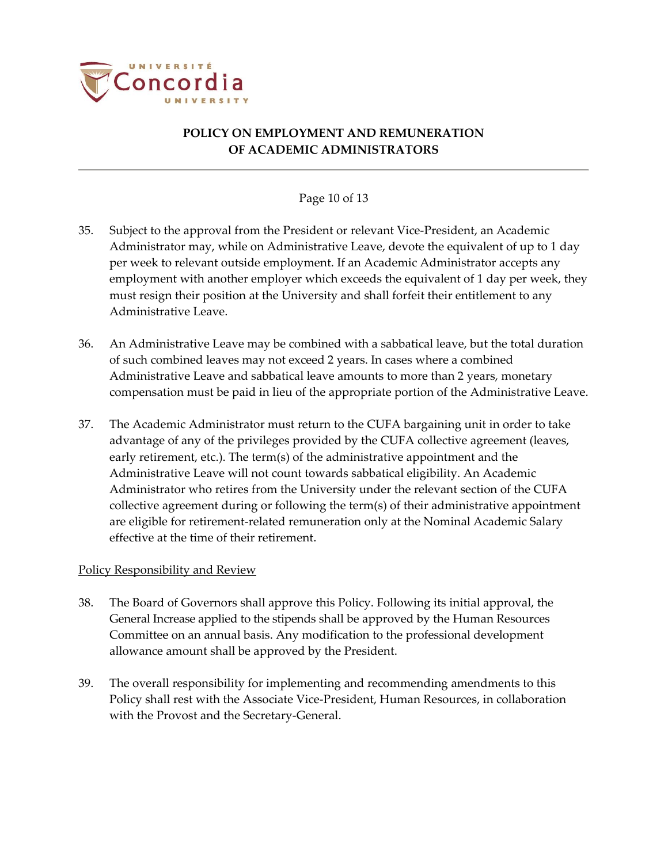

## Page 10 of 13

- 35. Subject to the approval from the President or relevant Vice-President, an Academic Administrator may, while on Administrative Leave, devote the equivalent of up to 1 day per week to relevant outside employment. If an Academic Administrator accepts any employment with another employer which exceeds the equivalent of 1 day per week, they must resign their position at the University and shall forfeit their entitlement to any Administrative Leave.
- 36. An Administrative Leave may be combined with a sabbatical leave, but the total duration of such combined leaves may not exceed 2 years. In cases where a combined Administrative Leave and sabbatical leave amounts to more than 2 years, monetary compensation must be paid in lieu of the appropriate portion of the Administrative Leave.
- 37. The Academic Administrator must return to the CUFA bargaining unit in order to take advantage of any of the privileges provided by the CUFA collective agreement (leaves, early retirement, etc.). The term(s) of the administrative appointment and the Administrative Leave will not count towards sabbatical eligibility. An Academic Administrator who retires from the University under the relevant section of the CUFA collective agreement during or following the term(s) of their administrative appointment are eligible for retirement-related remuneration only at the Nominal Academic Salary effective at the time of their retirement.

#### Policy Responsibility and Review

- 38. The Board of Governors shall approve this Policy. Following its initial approval, the General Increase applied to the stipends shall be approved by the Human Resources Committee on an annual basis. Any modification to the professional development allowance amount shall be approved by the President.
- 39. The overall responsibility for implementing and recommending amendments to this Policy shall rest with the Associate Vice-President, Human Resources, in collaboration with the Provost and the Secretary-General.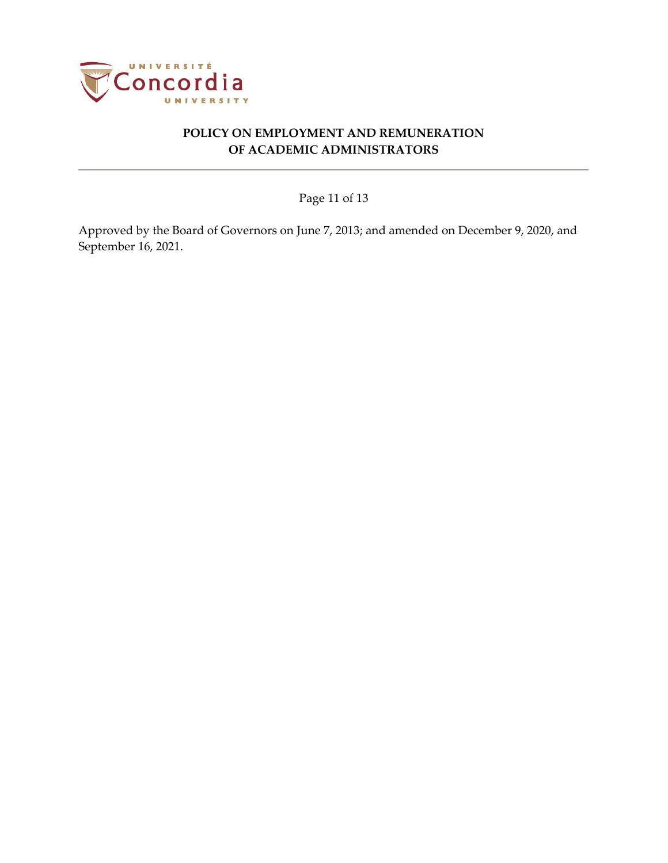

Page 11 of 13

Approved by the Board of Governors on June 7, 2013; and amended on December 9, 2020, and September 16, 2021.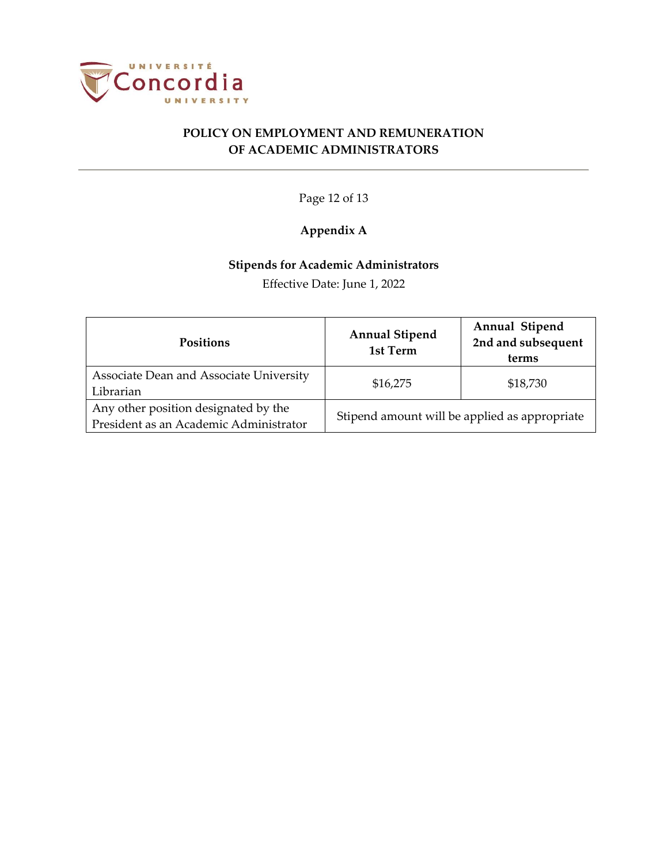

Page 12 of 13

# **Appendix A**

# **Stipends for Academic Administrators**

Effective Date: June 1, 2022

| <b>Positions</b>                                                               | <b>Annual Stipend</b><br>1st Term             | Annual Stipend<br>2nd and subsequent<br>terms |
|--------------------------------------------------------------------------------|-----------------------------------------------|-----------------------------------------------|
| Associate Dean and Associate University<br>Librarian                           | \$16,275                                      | \$18,730                                      |
| Any other position designated by the<br>President as an Academic Administrator | Stipend amount will be applied as appropriate |                                               |